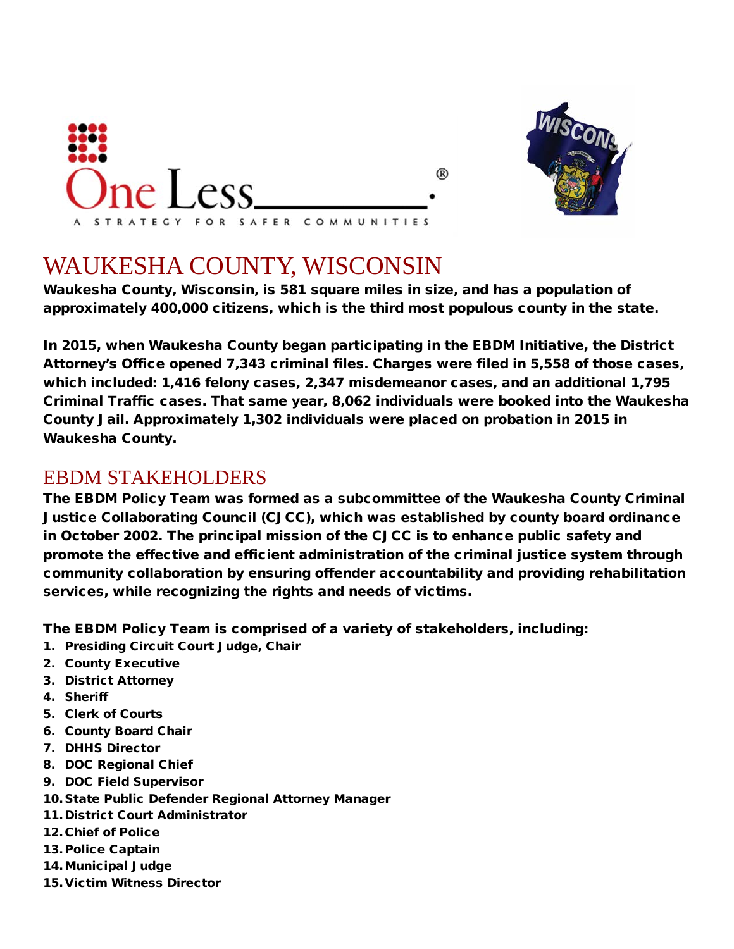



# WAUKESHA COUNTY, WISCONSIN

Waukesha County, Wisconsin, is 581 square miles in size, and has a population of approximately 400,000 citizens, which is the third most populous county in the state.

In 2015, when Waukesha County began participating in the EBDM Initiative, the District Attorney's Office opened 7,343 criminal files. Charges were filed in 5,558 of those cases, which included: 1,416 felony cases, 2,347 misdemeanor cases, and an additional 1,795 Criminal Traffic cases. That same year, 8,062 individuals were booked into the Waukesha County Jail. Approximately 1,302 individuals were placed on probation in 2015 in Waukesha County.

#### EBDM STAKEHOLDERS

The EBDM Policy Team was formed as a subcommittee of the Waukesha County Criminal Justice Collaborating Council (CJCC), which was established by county board ordinance in October 2002. The principal mission of the CJCC is to enhance public safety and promote the effective and efficient administration of the criminal justice system through community collaboration by ensuring offender accountability and providing rehabilitation services, while recognizing the rights and needs of victims.

The EBDM Policy Team is comprised of a variety of stakeholders, including:

- 1. Presiding Circuit Court Judge, Chair
- 2. County Executive
- 3. District Attorney
- 4. Sheriff
- 5. Clerk of Courts
- 6. County Board Chair
- 7. DHHS Director
- 8. DOC Regional Chief
- 9. DOC Field Supervisor
- 10. State Public Defender Regional Attorney Manager
- 11.District Court Administrator
- 12.Chief of Police
- 13. Police Captain
- 14.Municipal Judge
- 15.Victim Witness Director